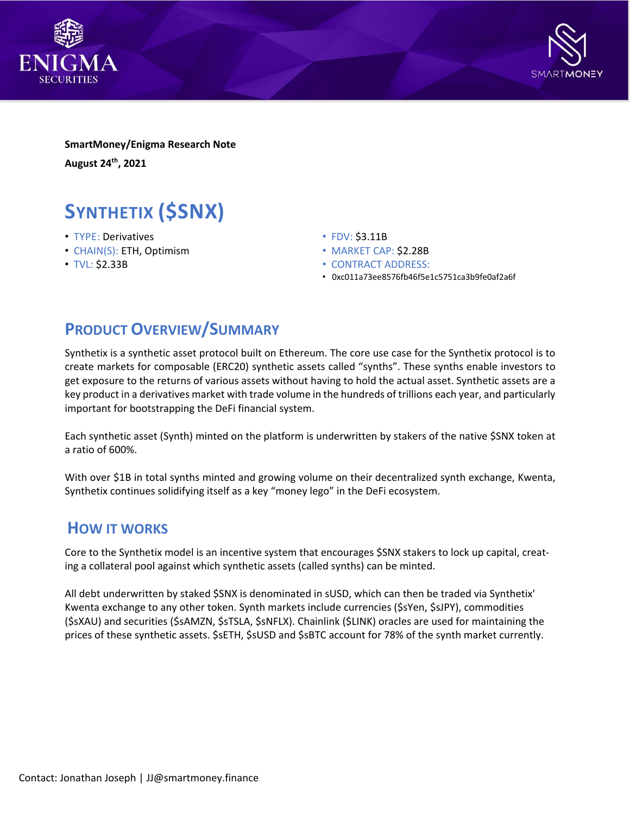



**SmartMoney/Enigma Research Note August 24th , 2021**

# **SYNTHETIX (\$SNX)**

- TYPE: Derivatives
- CHAIN(S): ETH, Optimism
- TVL: \$2.33B
- FDV: \$3.11B
- MARKET CAP: \$2.28B
- CONTRACT ADDRESS:
- 0xc011a73ee8576fb46f5e1c5751ca3b9fe0af2a6f

# **PRODUCT OVERVIEW/SUMMARY**

Synthetix is a synthetic asset protocol built on Ethereum. The core use case for the Synthetix protocol is to create markets for composable (ERC20) synthetic assets called "synths". These synths enable investors to get exposure to the returns of various assets without having to hold the actual asset. Synthetic assets are a key product in a derivatives market with trade volume in the hundreds of trillions each year, and particularly important for bootstrapping the DeFi financial system.

Each synthetic asset (Synth) minted on the platform is underwritten by stakers of the native \$SNX token at a ratio of 600%.

With over \$1B in total synths minted and growing volume on their decentralized synth exchange, Kwenta, Synthetix continues solidifying itself as a key "money lego" in the DeFi ecosystem.

## **HOW IT WORKS**

Core to the Synthetix model is an incentive system that encourages \$SNX stakers to lock up capital, creating a collateral pool against which synthetic assets (called synths) can be minted.

All debt underwritten by staked \$SNX is denominated in sUSD, which can then be traded via Synthetix' Kwenta exchange to any other token. Synth markets include currencies (\$sYen, \$sJPY), commodities (\$sXAU) and securities (\$sAMZN, \$sTSLA, \$sNFLX). Chainlink (\$LINK) oracles are used for maintaining the prices of these synthetic assets. \$sETH, \$sUSD and \$sBTC account for 78% of the synth market currently.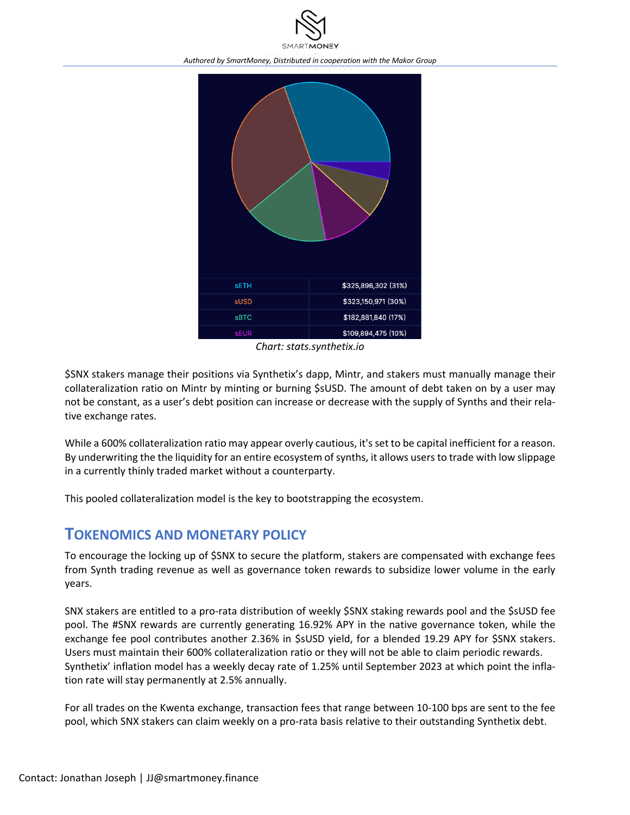



*Chart: stats.synthetix.io*

\$SNX stakers manage their positions via Synthetix's dapp, Mintr, and stakers must manually manage their collateralization ratio on Mintr by minting or burning \$sUSD. The amount of debt taken on by a user may not be constant, as a user's debt position can increase or decrease with the supply of Synths and their relative exchange rates.

While a 600% collateralization ratio may appear overly cautious, it's set to be capital inefficient for a reason. By underwriting the the liquidity for an entire ecosystem of synths, it allows users to trade with low slippage in a currently thinly traded market without a counterparty.

This pooled collateralization model is the key to bootstrapping the ecosystem.

## **TOKENOMICS AND MONETARY POLICY**

To encourage the locking up of \$SNX to secure the platform, stakers are compensated with exchange fees from Synth trading revenue as well as governance token rewards to subsidize lower volume in the early years.

SNX stakers are entitled to a pro-rata distribution of weekly \$SNX staking rewards pool and the \$sUSD fee pool. The #SNX rewards are currently generating 16.92% APY in the native governance token, while the exchange fee pool contributes another 2.36% in \$sUSD yield, for a blended 19.29 APY for \$SNX stakers. Users must maintain their 600% collateralization ratio or they will not be able to claim periodic rewards. Synthetix' inflation model has a weekly decay rate of 1.25% until September 2023 at which point the inflation rate will stay permanently at 2.5% annually.

For all trades on the Kwenta exchange, transaction fees that range between 10-100 bps are sent to the fee pool, which SNX stakers can claim weekly on a pro-rata basis relative to their outstanding Synthetix debt.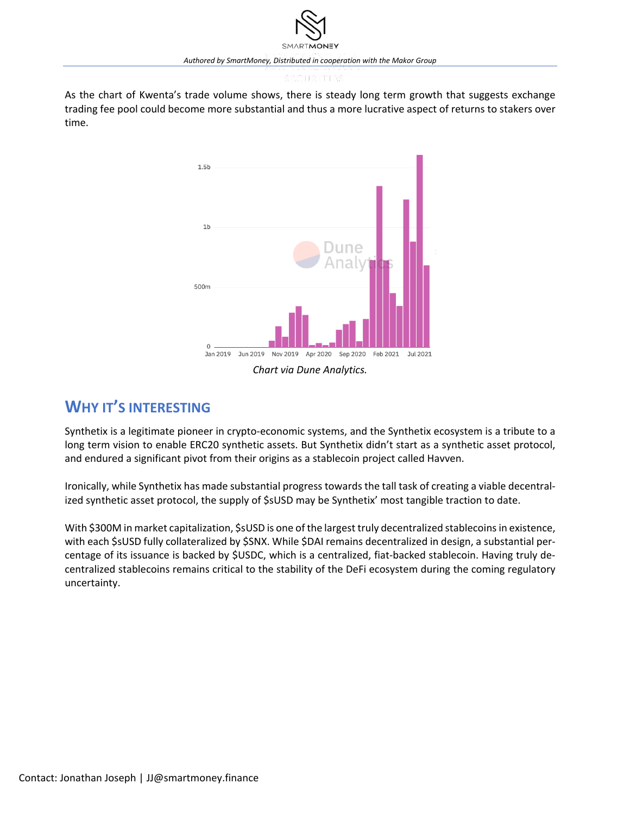As the chart of Kwenta's trade volume shows, there is steady long term growth that suggests exchange trading fee pool could become more substantial and thus a more lucrative aspect of returns to stakers over time.



## **WHY IT'S INTERESTING**

Synthetix is a legitimate pioneer in crypto-economic systems, and the Synthetix ecosystem is a tribute to a long term vision to enable ERC20 synthetic assets. But Synthetix didn't start as a synthetic asset protocol, and endured a significant pivot from their origins as a stablecoin project called Havven.

Ironically, while Synthetix has made substantial progress towards the tall task of creating a viable decentralized synthetic asset protocol, the supply of \$sUSD may be Synthetix' most tangible traction to date.

With \$300M in market capitalization, \$sUSD is one of the largest truly decentralized stablecoins in existence, with each \$sUSD fully collateralized by \$SNX. While \$DAI remains decentralized in design, a substantial percentage of its issuance is backed by \$USDC, which is a centralized, fiat-backed stablecoin. Having truly decentralized stablecoins remains critical to the stability of the DeFi ecosystem during the coming regulatory uncertainty.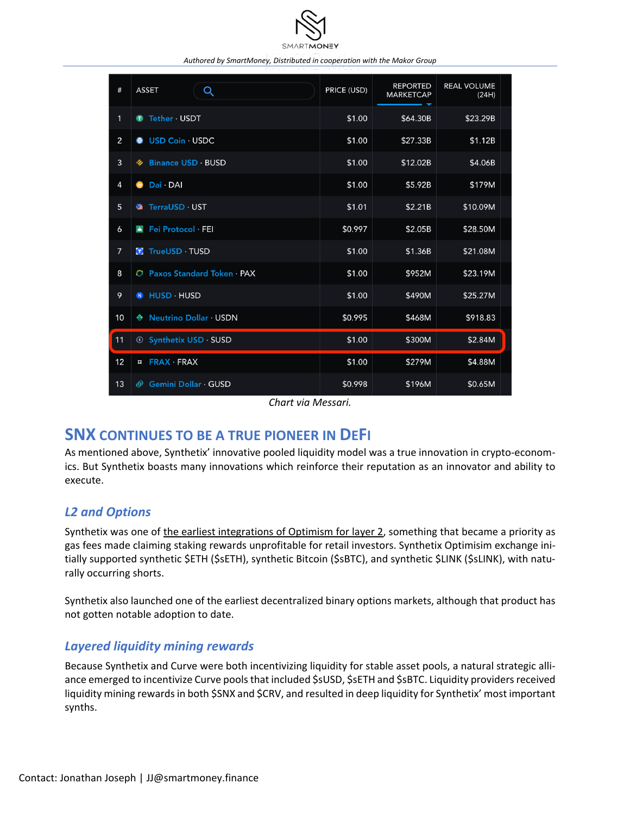

| #              | Q<br><b>ASSET</b>                            | PRICE (USD) | <b>REPORTED</b><br><b>MARKETCAP</b> | <b>REAL VOLUME</b><br>(24H) |
|----------------|----------------------------------------------|-------------|-------------------------------------|-----------------------------|
| 1              | Tether · USDT<br>●                           | \$1.00      | \$64.30B                            | \$23.29B                    |
| 2              | USD Coin · USDC<br>$\circledcirc$            | \$1.00      | \$27.33B                            | \$1.12B                     |
| $\overline{3}$ | <b>Binance USD BUSD</b><br>₩                 | \$1.00      | \$12.02B                            | \$4.06B                     |
| $\overline{4}$ | Dai DAI<br>$\bullet$                         | \$1.00      | \$5.92B                             | \$179M                      |
| 5              | TerraUSD · UST<br>٠                          | \$1.01      | \$2.21B                             | \$10.09M                    |
| 6              | Fei Protocol FEI<br>A                        | \$0.997     | \$2.05B                             | \$28.50M                    |
| $\overline{7}$ | T TrueUSD · TUSD                             | \$1.00      | \$1.36B                             | \$21.08M                    |
| 8              | <b>Paxos Standard Token · PAX</b><br>$\circ$ | \$1.00      | \$952M                              | \$23.19M                    |
| 9              | HUSD · HUSD<br>$\mathbf{H}$                  | \$1.00      | \$490M                              | \$25.27M                    |
| 10             | ♦ Neutrino Dollar · USDN                     | \$0.995     | \$468M                              | \$918.83                    |
| 11             | <b>Synthetix USD · SUSD</b>                  | \$1.00      | \$300M                              | \$2.84M                     |
| 12             | ¤ FRAX FRAX                                  | \$1.00      | \$279M                              | \$4.88M                     |
| 13             | Gemini Dollar · GUSD<br>⊕                    | \$0.998     | \$196M                              | \$0.65M                     |

*Chart via Messari.*

## **SNX CONTINUES TO BE A TRUE PIONEER IN DEFI**

As mentioned above, Synthetix' innovative pooled liquidity model was a true innovation in crypto-economics. But Synthetix boasts many innovations which reinforce their reputation as an innovator and ability to execute.

#### *L2 and Options*

Synthetix was one of the earliest [integrations](https://cryptobriefing.com/synthetix-goes-live-on-layer-2-to-bypass-ethereum-fees/) of Optimism for layer 2, something that became a priority as gas fees made claiming staking rewards unprofitable for retail investors. Synthetix Optimisim exchange initially supported synthetic \$ETH (\$sETH), synthetic Bitcoin (\$sBTC), and synthetic \$LINK (\$sLINK), with naturally occurring shorts.

Synthetix also launched one of the earliest decentralized binary options markets, although that product has not gotten notable adoption to date.

#### *Layered liquidity mining rewards*

Because Synthetix and Curve were both incentivizing liquidity for stable asset pools, a natural strategic alliance emerged to incentivize Curve pools that included \$sUSD, \$sETH and \$sBTC. Liquidity providers received liquidity mining rewards in both \$SNX and \$CRV, and resulted in deep liquidity for Synthetix' most important synths.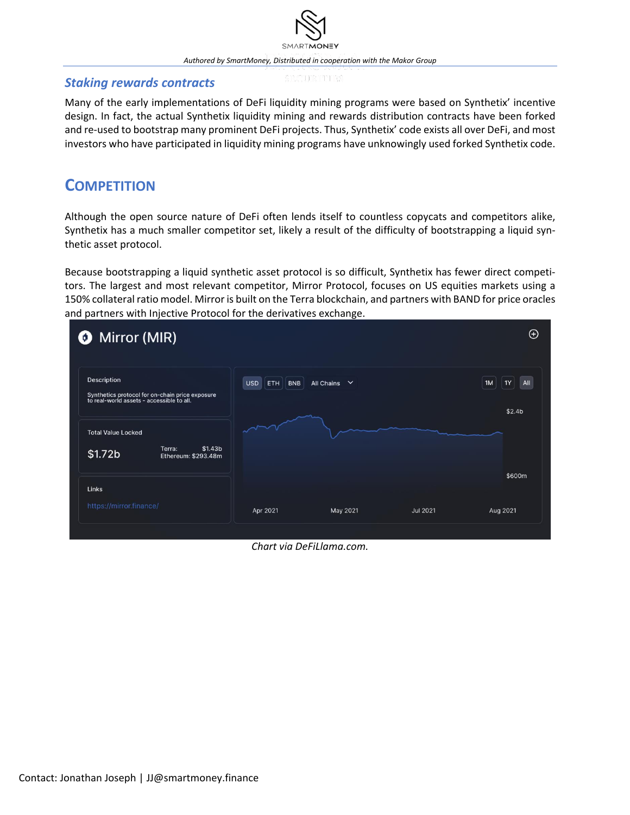#### *Staking rewards contracts*

Many of the early implementations of DeFi liquidity mining programs were based on Synthetix' incentive design. In fact, the actual Synthetix liquidity mining and rewards distribution contracts have been forked and re-used to bootstrap many prominent DeFi projects. Thus, Synthetix' code exists all over DeFi, and most investors who have participated in liquidity mining programs have unknowingly used forked Synthetix code.

# **COMPETITION**

Although the open source nature of DeFi often lends itself to countless copycats and competitors alike, Synthetix has a much smaller competitor set, likely a result of the difficulty of bootstrapping a liquid synthetic asset protocol.

Because bootstrapping a liquid synthetic asset protocol is so difficult, Synthetix has fewer direct competitors. The largest and most relevant competitor, Mirror Protocol, focuses on US equities markets using a 150% collateral ratio model. Mirror is built on the Terra blockchain, and partners with BAND for price oracles and partners with Injective Protocol for the derivatives exchange.



*Chart via DeFiLlama.com.*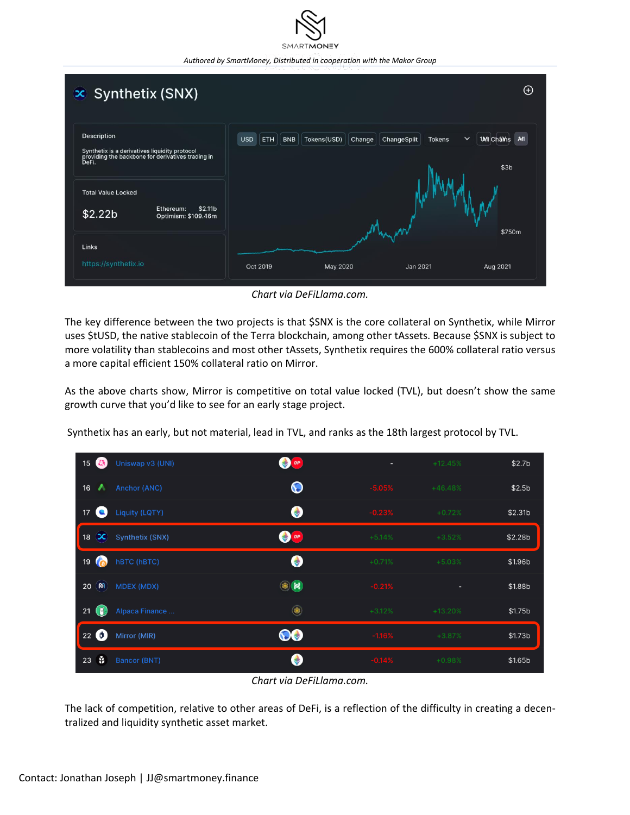| $\infty$ Synthetix (SNX)                                                                                                   |                                                                                                                                            | $\bigoplus$ |  |  |
|----------------------------------------------------------------------------------------------------------------------------|--------------------------------------------------------------------------------------------------------------------------------------------|-------------|--|--|
| Description<br>Synthetix is a derivatives liquidity protocol<br>providing the backbone for derivatives trading in<br>DeFi. | $\checkmark$<br><b>USD</b><br>MI<br>ETH<br>Tokens(USD)<br>ChangeSplit<br><b>1MI Châms</b><br><b>BNB</b><br>Change<br><b>Tokens</b><br>\$3b |             |  |  |
| <b>Total Value Locked</b><br>Ethereum:<br>\$2.11 <sub>b</sub><br>\$2.22b<br>Optimism: \$109.46m                            |                                                                                                                                            | \$750m      |  |  |
| Links<br>https://synthetix.io                                                                                              | Oct 2019<br>May 2020<br>Jan 2021                                                                                                           | Aug 2021    |  |  |

*Chart via DeFiLlama.com.*

The key difference between the two projects is that \$SNX is the core collateral on Synthetix, while Mirror uses \$tUSD, the native stablecoin of the Terra blockchain, among other tAssets. Because \$SNX is subject to more volatility than stablecoins and most other tAssets, Synthetix requires the 600% collateral ratio versus a more capital efficient 150% collateral ratio on Mirror.

As the above charts show, Mirror is competitive on total value locked (TVL), but doesn't show the same growth curve that you'd like to see for an early stage project.

Synthetix has an early, but not material, lead in TVL, and ranks as the 18th largest protocol by TVL.

| 森<br>15                      | Uniswap v3 (UNI)       | OP OF            | ۰        | $+12.45%$ | \$2.7 <sub>b</sub>  |
|------------------------------|------------------------|------------------|----------|-----------|---------------------|
| 16<br>⋏                      | Anchor (ANC)           | $\mathbf \Theta$ | $-5.05%$ | $+46.48%$ | \$2.5 <sub>b</sub>  |
| 17<br>e                      | <b>Liquity (LQTY)</b>  | $\bullet$        | $-0.23%$ | $+0.72%$  | \$2.31 <sub>b</sub> |
| $\infty$<br>18               | <b>Synthetix (SNX)</b> | OP               | $+5.14%$ | $+3.52%$  | \$2.28 <sub>b</sub> |
| 19<br>$\mathcal{L}_{\Omega}$ | <b>hBTC (hBTC)</b>     |                  | $+0.71%$ | $+5.03%$  | \$1.96b             |
| ൹<br>20                      | <b>MDEX (MDX)</b>      | $\circledast$ 2  | $-0.21%$ | ٠         | \$1.88b             |
| G<br>21                      | Alpaca Finance         | $\circledast$    | $+3.12%$ | $+13.20%$ | \$1.75b             |
| $22$ $\odot$                 | Mirror (MIR)           | 00               | $-1.16%$ | $+3.87%$  | \$1.73 <sub>b</sub> |
| ¥<br>23                      | <b>Bancor (BNT)</b>    |                  | $-0.14%$ | $+0.98%$  | \$1.65 <sub>b</sub> |

*Chart via DeFiLlama.com.*

The lack of competition, relative to other areas of DeFi, is a reflection of the difficulty in creating a decentralized and liquidity synthetic asset market.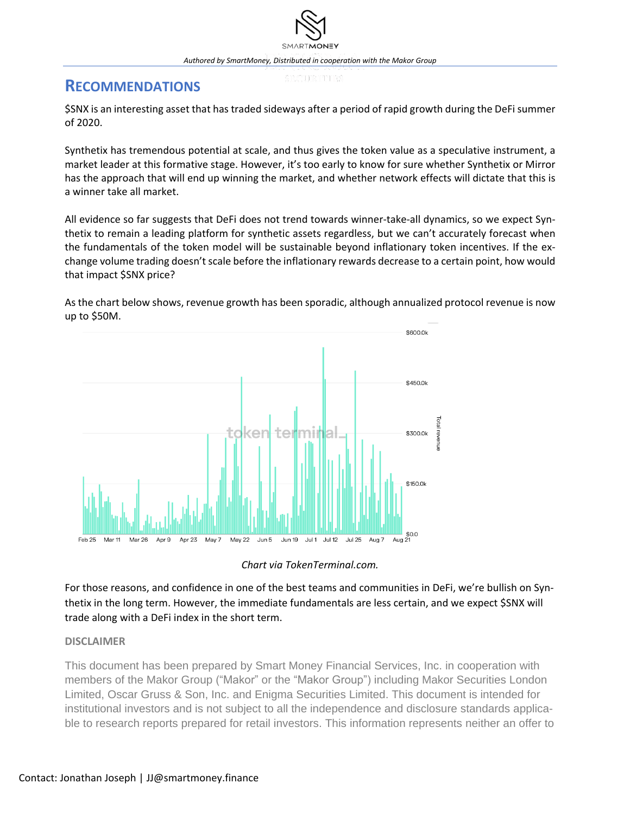# **RECOMMENDATIONS**

\$SNX is an interesting asset that has traded sideways after a period of rapid growth during the DeFi summer of 2020.

Synthetix has tremendous potential at scale, and thus gives the token value as a speculative instrument, a market leader at this formative stage. However, it's too early to know for sure whether Synthetix or Mirror has the approach that will end up winning the market, and whether network effects will dictate that this is a winner take all market.

All evidence so far suggests that DeFi does not trend towards winner-take-all dynamics, so we expect Synthetix to remain a leading platform for synthetic assets regardless, but we can't accurately forecast when the fundamentals of the token model will be sustainable beyond inflationary token incentives. If the exchange volume trading doesn't scale before the inflationary rewards decrease to a certain point, how would that impact \$SNX price?

As the chart below shows, revenue growth has been sporadic, although annualized protocol revenue is now up to \$50M.





For those reasons, and confidence in one of the best teams and communities in DeFi, we're bullish on Synthetix in the long term. However, the immediate fundamentals are less certain, and we expect \$SNX will trade along with a DeFi index in the short term.

#### **DISCLAIMER**

This document has been prepared by Smart Money Financial Services, Inc. in cooperation with members of the Makor Group ("Makor" or the "Makor Group") including Makor Securities London Limited, Oscar Gruss & Son, Inc. and Enigma Securities Limited. This document is intended for institutional investors and is not subject to all the independence and disclosure standards applicable to research reports prepared for retail investors. This information represents neither an offer to